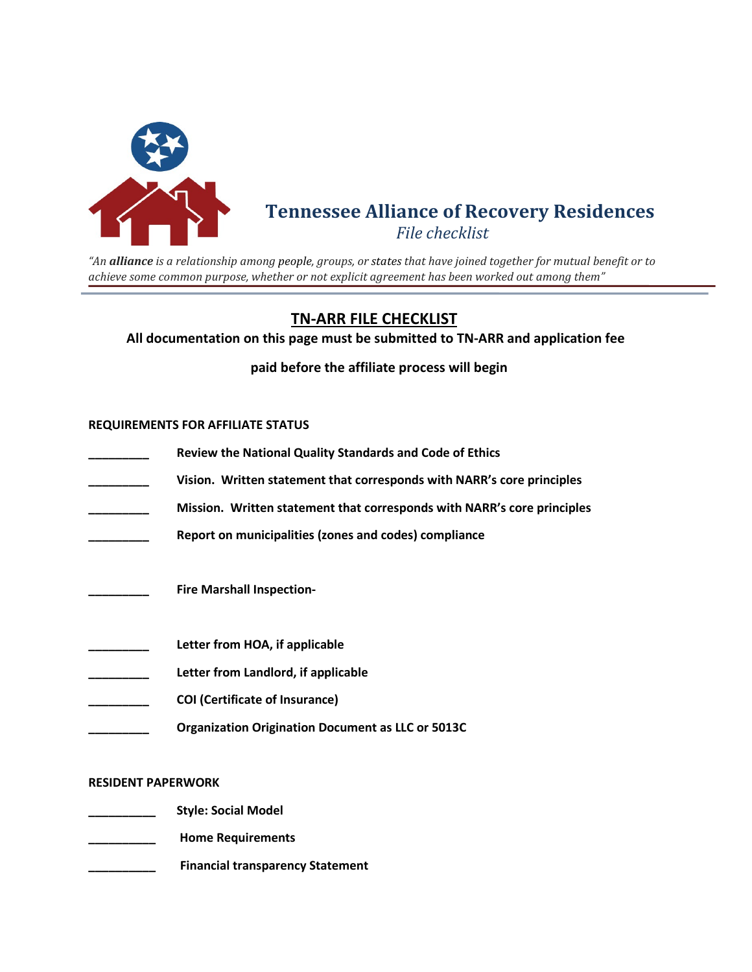

## **Tennessee Alliance of Recovery Residences** *File checklist*

*"An alliance is a relationship among people, groups, or states that have joined together for mutual benefit or to achieve some common purpose, whether or not explicit agreement has been worked out among them"*

## **TN-ARR FILE CHECKLIST**

**All documentation on this page must be submitted to TN-ARR and application fee** 

 **paid before the affiliate process will begin**

## **REQUIREMENTS FOR AFFILIATE STATUS**

- **\_\_\_\_\_\_\_\_\_ Review the National Quality Standards and Code of Ethics**
- **\_\_\_\_\_\_\_\_\_ Vision. Written statement that corresponds with NARR's core principles**
- **\_\_\_\_\_\_\_\_\_ Mission. Written statement that corresponds with NARR's core principles**
- **\_\_\_\_\_\_\_\_\_ Report on municipalities (zones and codes) compliance**
- **\_\_\_\_\_\_\_\_\_ Fire Marshall Inspection-**
- **\_\_\_\_\_\_\_\_\_ Letter from HOA, if applicable**
- **\_\_\_\_\_\_\_\_\_ Letter from Landlord, if applicable**
- **\_\_\_\_\_\_\_\_\_ COI (Certificate of Insurance)**
- **\_\_\_\_\_\_\_\_\_ Organization Origination Document as LLC or 5013C**

## **RESIDENT PAPERWORK**

- **\_\_\_\_\_\_\_\_\_\_ Style: Social Model**
- **\_\_\_\_\_\_\_\_\_\_ Home Requirements**
- **\_\_\_\_\_\_\_\_\_\_ Financial transparency Statement**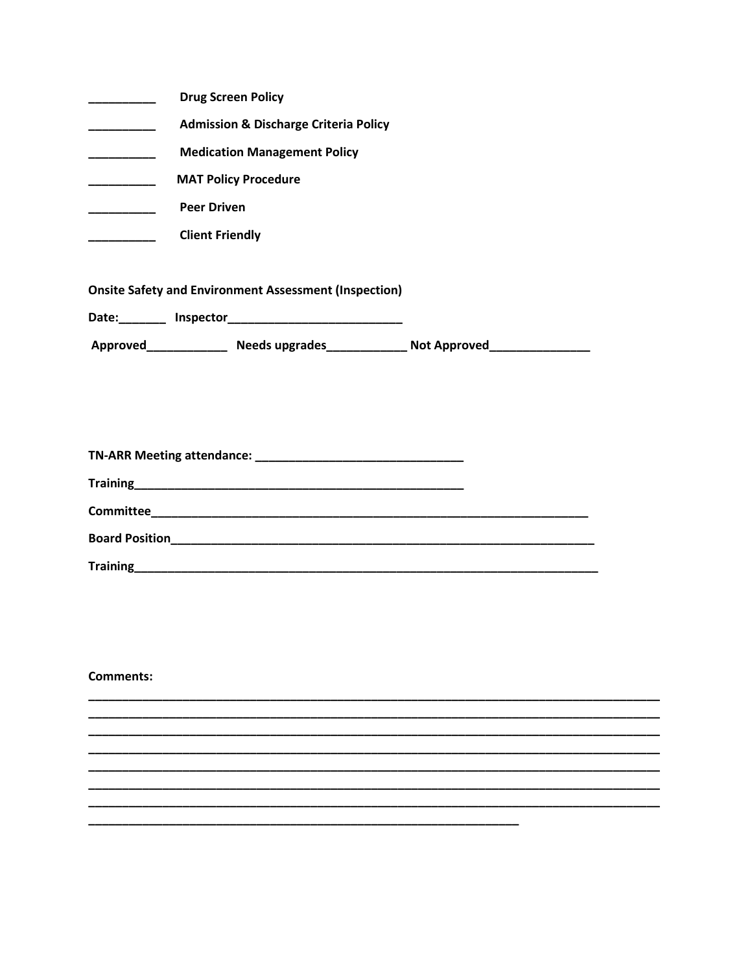|                                                              | <b>Drug Screen Policy</b>                        |  |
|--------------------------------------------------------------|--------------------------------------------------|--|
|                                                              | <b>Admission &amp; Discharge Criteria Policy</b> |  |
|                                                              | <b>Medication Management Policy</b>              |  |
|                                                              | <b>MAT Policy Procedure</b>                      |  |
|                                                              | <b>Peer Driven</b>                               |  |
|                                                              | <b>Client Friendly</b>                           |  |
|                                                              |                                                  |  |
| <b>Onsite Safety and Environment Assessment (Inspection)</b> |                                                  |  |

| <b>Committee</b> |  |
|------------------|--|
|                  |  |
| Training         |  |

**Comments:**